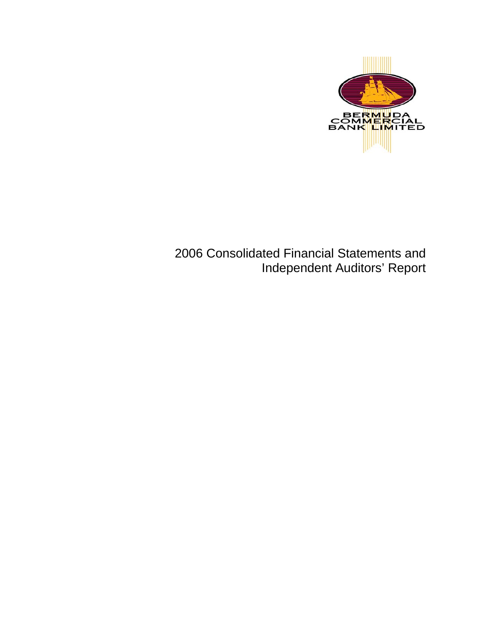

 2006 Consolidated Financial Statements and Independent Auditors' Report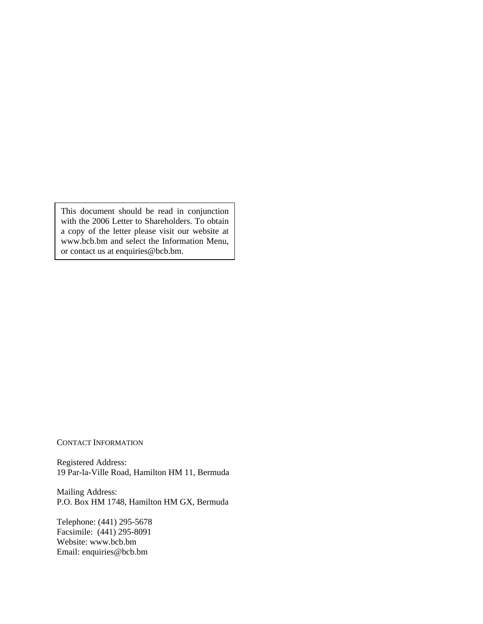This document should be read in conjunction with the 2006 Letter to Shareholders. To obtain a copy of the letter please visit our website at www.bcb.bm and select the Information Menu, or contact us at enquiries@bcb.bm.

CONTACT INFORMATION

Registered Address: 19 Par-la-Ville Road, Hamilton HM 11, Bermuda

Mailing Address: P.O. Box HM 1748, Hamilton HM GX, Bermuda

Telephone: (441) 295-5678 Facsimile: (441) 295-8091 Website: www.bcb.bm Email: enquiries@bcb.bm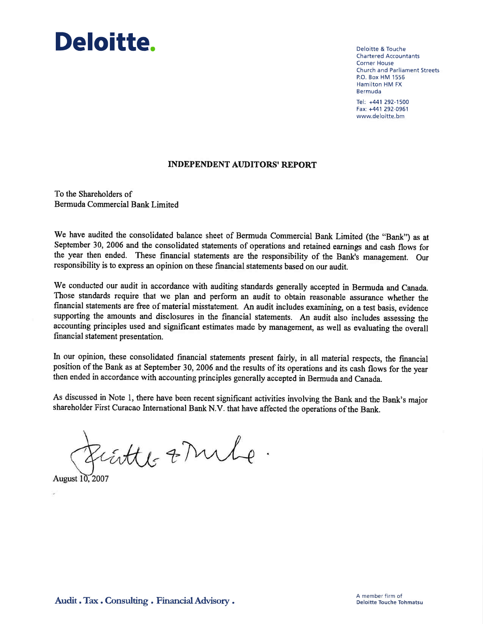# Deloitte.

**Deloitte & Touche Chartered Accountants Corner House Church and Parliament Streets** P.O. Box HM 1556 Hamilton HM FX Bermuda

Tel: +441 292-1500 Fax: +441 292-0961 www.deloitte.bm

#### **INDEPENDENT AUDITORS' REPORT**

To the Shareholders of Bermuda Commercial Bank Limited

We have audited the consolidated balance sheet of Bermuda Commercial Bank Limited (the "Bank") as at September 30, 2006 and the consolidated statements of operations and retained earnings and cash flows for the year then ended. These financial statements are the responsibility of the Bank's management. Our responsibility is to express an opinion on these financial statements based on our audit.

We conducted our audit in accordance with auditing standards generally accepted in Bermuda and Canada. Those standards require that we plan and perform an audit to obtain reasonable assurance whether the financial statements are free of material misstatement. An audit includes examining, on a test basis, evidence supporting the amounts and disclosures in the financial statements. An audit also includes assessing the accounting principles used and significant estimates made by management, as well as evaluating the overall financial statement presentation.

In our opinion, these consolidated financial statements present fairly, in all material respects, the financial position of the Bank as at September 30, 2006 and the results of its operations and its cash flows for the year then ended in accordance with accounting principles generally accepted in Bermuda and Canada.

As discussed in Note 1, there have been recent significant activities involving the Bank and the Bank's major shareholder First Curacao International Bank N.V. that have affected the operations of the Bank.

Firthe & Mile.

August 10, 2007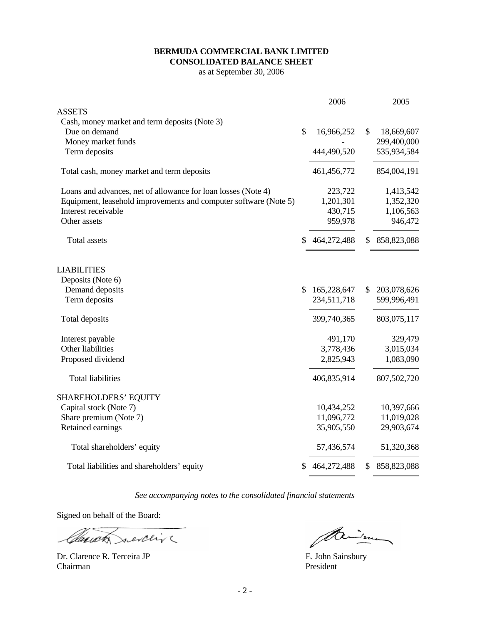#### **BERMUDA COMMERCIAL BANK LIMITED CONSOLIDATED BALANCE SHEET**

as at September 30, 2006

|                                                                  | 2006              | 2005              |
|------------------------------------------------------------------|-------------------|-------------------|
| <b>ASSETS</b>                                                    |                   |                   |
| Cash, money market and term deposits (Note 3)                    |                   |                   |
| Due on demand                                                    | \$<br>16,966,252  | \$<br>18,669,607  |
| Money market funds                                               |                   | 299,400,000       |
| Term deposits                                                    | 444,490,520       | 535,934,584       |
| Total cash, money market and term deposits                       | 461,456,772       | 854,004,191       |
| Loans and advances, net of allowance for loan losses (Note 4)    | 223,722           | 1,413,542         |
| Equipment, leasehold improvements and computer software (Note 5) | 1,201,301         | 1,352,320         |
| Interest receivable                                              | 430,715           | 1,106,563         |
| Other assets                                                     | 959,978           | 946,472           |
| <b>Total assets</b>                                              | \$<br>464,272,488 | \$<br>858,823,088 |
| <b>LIABILITIES</b>                                               |                   |                   |
| Deposits (Note 6)                                                |                   |                   |
| Demand deposits                                                  | \$<br>165,228,647 | \$<br>203,078,626 |
| Term deposits                                                    | 234,511,718       | 599,996,491       |
| Total deposits                                                   | 399,740,365       | 803,075,117       |
| Interest payable                                                 | 491,170           | 329,479           |
| Other liabilities                                                | 3,778,436         | 3,015,034         |
| Proposed dividend                                                | 2,825,943         | 1,083,090         |
| <b>Total liabilities</b>                                         | 406,835,914       | 807,502,720       |
| <b>SHAREHOLDERS' EQUITY</b>                                      |                   |                   |
| Capital stock (Note 7)                                           | 10,434,252        | 10,397,666        |
| Share premium (Note 7)                                           | 11,096,772        | 11,019,028        |
| Retained earnings                                                | 35,905,550        | 29,903,674        |
| Total shareholders' equity                                       | 57,436,574        | 51,320,368        |
| Total liabilities and shareholders' equity                       | \$<br>464,272,488 | \$<br>858,823,088 |

*See accompanying notes to the consolidated financial statements* 

Signed on behalf of the Board:

Claudy nevering

Dr. Clarence R. Terceira JP E. John Sainsbury Chairman President

Paine

 $\equiv$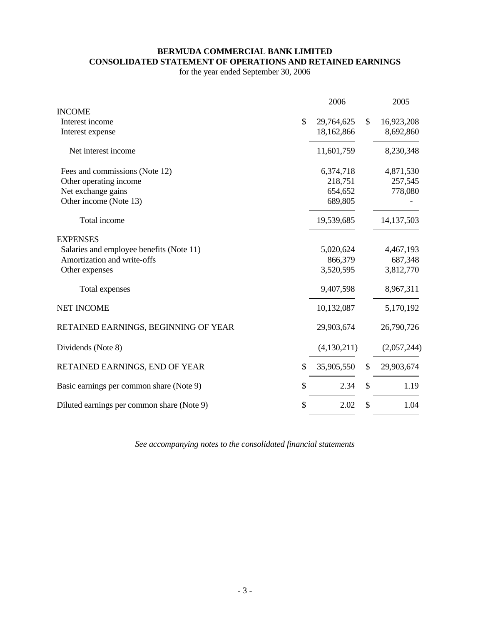#### **BERMUDA COMMERCIAL BANK LIMITED CONSOLIDATED STATEMENT OF OPERATIONS AND RETAINED EARNINGS**

for the year ended September 30, 2006

|                                            | 2006             | 2005             |
|--------------------------------------------|------------------|------------------|
| <b>INCOME</b>                              |                  |                  |
| Interest income                            | \$<br>29,764,625 | \$<br>16,923,208 |
| Interest expense                           | 18,162,866       | 8,692,860        |
| Net interest income                        | 11,601,759       | 8,230,348        |
| Fees and commissions (Note 12)             | 6,374,718        | 4,871,530        |
| Other operating income                     | 218,751          | 257,545          |
| Net exchange gains                         | 654,652          | 778,080          |
| Other income (Note 13)                     | 689,805          |                  |
| Total income                               | 19,539,685       | 14, 137, 503     |
| <b>EXPENSES</b>                            |                  |                  |
| Salaries and employee benefits (Note 11)   | 5,020,624        | 4,467,193        |
| Amortization and write-offs                | 866,379          | 687,348          |
| Other expenses                             | 3,520,595        | 3,812,770        |
| Total expenses                             | 9,407,598        | 8,967,311        |
| <b>NET INCOME</b>                          | 10,132,087       | 5,170,192        |
| RETAINED EARNINGS, BEGINNING OF YEAR       | 29,903,674       | 26,790,726       |
| Dividends (Note 8)                         | (4,130,211)      | (2,057,244)      |
| RETAINED EARNINGS, END OF YEAR             | \$<br>35,905,550 | \$<br>29,903,674 |
| Basic earnings per common share (Note 9)   | \$<br>2.34       | \$<br>1.19       |
| Diluted earnings per common share (Note 9) | \$<br>2.02       | \$<br>1.04       |

*See accompanying notes to the consolidated financial statements*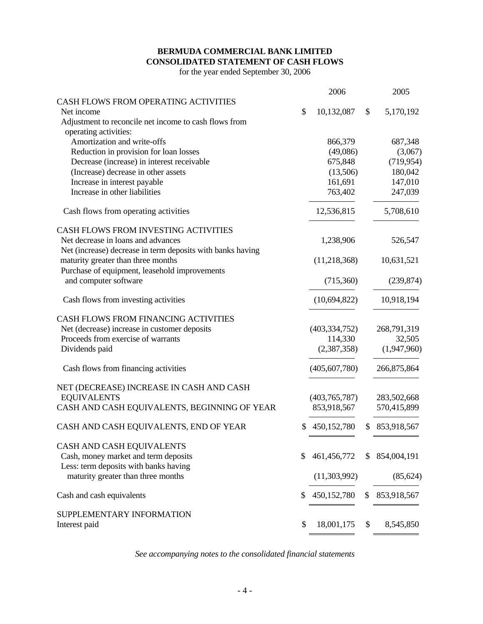#### **BERMUDA COMMERCIAL BANK LIMITED CONSOLIDATED STATEMENT OF CASH FLOWS**

for the year ended September 30, 2006

|                                                            | 2006              |    | 2005        |
|------------------------------------------------------------|-------------------|----|-------------|
| CASH FLOWS FROM OPERATING ACTIVITIES                       |                   |    |             |
| Net income                                                 | \$<br>10,132,087  | \$ | 5,170,192   |
| Adjustment to reconcile net income to cash flows from      |                   |    |             |
| operating activities:                                      |                   |    |             |
| Amortization and write-offs                                | 866,379           |    | 687,348     |
| Reduction in provision for loan losses                     | (49,086)          |    | (3,067)     |
| Decrease (increase) in interest receivable                 | 675,848           |    | (719, 954)  |
| (Increase) decrease in other assets                        | (13,506)          |    | 180,042     |
| Increase in interest payable                               | 161,691           |    | 147,010     |
| Increase in other liabilities                              | 763,402           |    | 247,039     |
| Cash flows from operating activities                       | 12,536,815        |    | 5,708,610   |
| CASH FLOWS FROM INVESTING ACTIVITIES                       |                   |    |             |
| Net decrease in loans and advances                         | 1,238,906         |    | 526,547     |
| Net (increase) decrease in term deposits with banks having |                   |    |             |
| maturity greater than three months                         | (11,218,368)      |    | 10,631,521  |
| Purchase of equipment, leasehold improvements              |                   |    |             |
| and computer software                                      | (715,360)         |    | (239, 874)  |
| Cash flows from investing activities                       | (10,694,822)      |    | 10,918,194  |
| CASH FLOWS FROM FINANCING ACTIVITIES                       |                   |    |             |
| Net (decrease) increase in customer deposits               | (403, 334, 752)   |    | 268,791,319 |
| Proceeds from exercise of warrants                         | 114,330           |    | 32,505      |
| Dividends paid                                             | (2,387,358)       |    | (1,947,960) |
| Cash flows from financing activities                       | (405, 607, 780)   |    | 266,875,864 |
| NET (DECREASE) INCREASE IN CASH AND CASH                   |                   |    |             |
| <b>EQUIVALENTS</b>                                         | (403,765,787)     |    | 283,502,668 |
| CASH AND CASH EQUIVALENTS, BEGINNING OF YEAR               | 853,918,567       |    | 570,415,899 |
| CASH AND CASH EQUIVALENTS, END OF YEAR                     | \$<br>450,152,780 | S. | 853,918,567 |
| CASH AND CASH EQUIVALENTS                                  |                   |    |             |
| Cash, money market and term deposits                       | \$<br>461,456,772 | S  | 854,004,191 |
| Less: term deposits with banks having                      |                   |    |             |
| maturity greater than three months                         | (11,303,992)      |    | (85, 624)   |
| Cash and cash equivalents                                  | \$<br>450,152,780 | \$ | 853,918,567 |
| SUPPLEMENTARY INFORMATION                                  |                   |    |             |
| Interest paid                                              | \$<br>18,001,175  | \$ | 8,545,850   |

*See accompanying notes to the consolidated financial statements*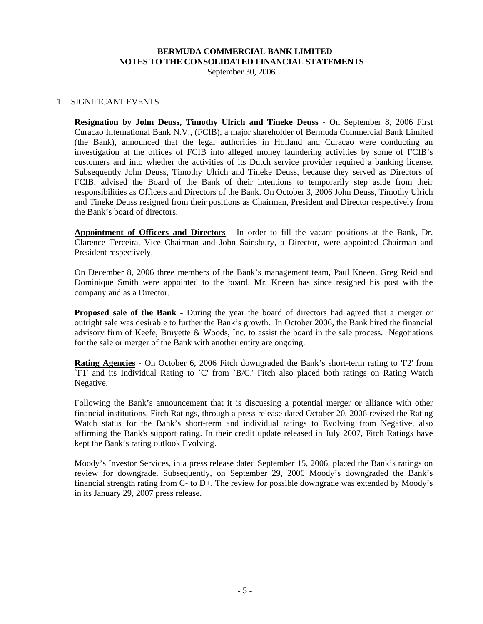September 30, 2006

## 1. SIGNIFICANT EVENTS

**Resignation by John Deuss, Timothy Ulrich and Tineke Deuss -** On September 8, 2006 First Curacao International Bank N.V., (FCIB), a major shareholder of Bermuda Commercial Bank Limited (the Bank), announced that the legal authorities in Holland and Curacao were conducting an investigation at the offices of FCIB into alleged money laundering activities by some of FCIB's customers and into whether the activities of its Dutch service provider required a banking license. Subsequently John Deuss, Timothy Ulrich and Tineke Deuss, because they served as Directors of FCIB, advised the Board of the Bank of their intentions to temporarily step aside from their responsibilities as Officers and Directors of the Bank. On October 3, 2006 John Deuss, Timothy Ulrich and Tineke Deuss resigned from their positions as Chairman, President and Director respectively from the Bank's board of directors.

**Appointment of Officers and Directors -** In order to fill the vacant positions at the Bank, Dr. Clarence Terceira, Vice Chairman and John Sainsbury, a Director, were appointed Chairman and President respectively.

On December 8, 2006 three members of the Bank's management team, Paul Kneen, Greg Reid and Dominique Smith were appointed to the board. Mr. Kneen has since resigned his post with the company and as a Director.

**Proposed sale of the Bank -** During the year the board of directors had agreed that a merger or outright sale was desirable to further the Bank's growth. In October 2006, the Bank hired the financial advisory firm of Keefe, Bruyette & Woods, Inc. to assist the board in the sale process. Negotiations for the sale or merger of the Bank with another entity are ongoing.

**Rating Agencies** - On October 6, 2006 Fitch downgraded the Bank's short-term rating to 'F2' from `F1' and its Individual Rating to `C' from `B/C.' Fitch also placed both ratings on Rating Watch Negative.

Following the Bank's announcement that it is discussing a potential merger or alliance with other financial institutions, Fitch Ratings, through a press release dated October 20, 2006 revised the Rating Watch status for the Bank's short-term and individual ratings to Evolving from Negative, also affirming the Bank's support rating. In their credit update released in July 2007, Fitch Ratings have kept the Bank's rating outlook Evolving.

Moody's Investor Services, in a press release dated September 15, 2006, placed the Bank's ratings on review for downgrade. Subsequently, on September 29, 2006 Moody's downgraded the Bank's financial strength rating from C- to D+. The review for possible downgrade was extended by Moody's in its January 29, 2007 press release.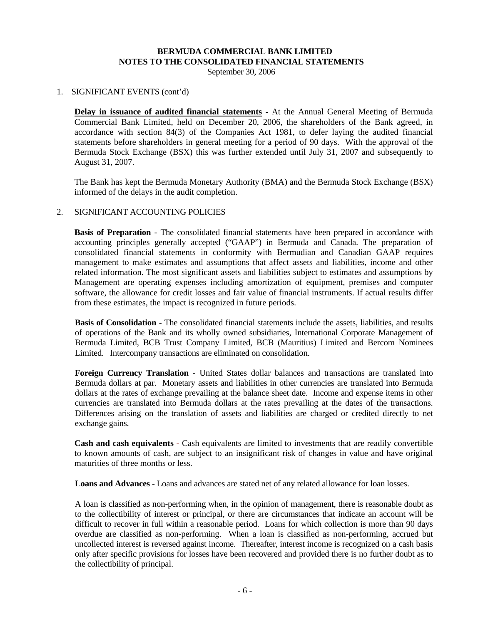September 30, 2006

#### 1. SIGNIFICANT EVENTS (cont'd)

**Delay in issuance of audited financial statements -** At the Annual General Meeting of Bermuda Commercial Bank Limited, held on December 20, 2006, the shareholders of the Bank agreed, in accordance with section 84(3) of the Companies Act 1981, to defer laying the audited financial statements before shareholders in general meeting for a period of 90 days. With the approval of the Bermuda Stock Exchange (BSX) this was further extended until July 31, 2007 and subsequently to August 31, 2007.

The Bank has kept the Bermuda Monetary Authority (BMA) and the Bermuda Stock Exchange (BSX) informed of the delays in the audit completion.

#### 2. SIGNIFICANT ACCOUNTING POLICIES

**Basis of Preparation** - The consolidated financial statements have been prepared in accordance with accounting principles generally accepted ("GAAP") in Bermuda and Canada. The preparation of consolidated financial statements in conformity with Bermudian and Canadian GAAP requires management to make estimates and assumptions that affect assets and liabilities, income and other related information. The most significant assets and liabilities subject to estimates and assumptions by Management are operating expenses including amortization of equipment, premises and computer software, the allowance for credit losses and fair value of financial instruments. If actual results differ from these estimates, the impact is recognized in future periods.

**Basis of Consolidation** - The consolidated financial statements include the assets, liabilities, and results of operations of the Bank and its wholly owned subsidiaries, International Corporate Management of Bermuda Limited, BCB Trust Company Limited, BCB (Mauritius) Limited and Bercom Nominees Limited. Intercompany transactions are eliminated on consolidation.

Foreign Currency Translation - United States dollar balances and transactions are translated into Bermuda dollars at par. Monetary assets and liabilities in other currencies are translated into Bermuda dollars at the rates of exchange prevailing at the balance sheet date. Income and expense items in other currencies are translated into Bermuda dollars at the rates prevailing at the dates of the transactions. Differences arising on the translation of assets and liabilities are charged or credited directly to net exchange gains.

 **Cash and cash equivalents** - Cash equivalents are limited to investments that are readily convertible to known amounts of cash, are subject to an insignificant risk of changes in value and have original maturities of three months or less.

**Loans and Advances** - Loans and advances are stated net of any related allowance for loan losses.

A loan is classified as non-performing when, in the opinion of management, there is reasonable doubt as to the collectibility of interest or principal, or there are circumstances that indicate an account will be difficult to recover in full within a reasonable period. Loans for which collection is more than 90 days overdue are classified as non-performing. When a loan is classified as non-performing, accrued but uncollected interest is reversed against income. Thereafter, interest income is recognized on a cash basis only after specific provisions for losses have been recovered and provided there is no further doubt as to the collectibility of principal.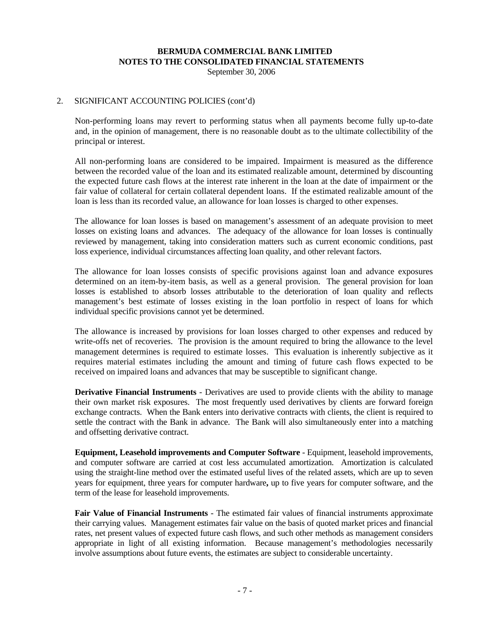September 30, 2006

#### 2. SIGNIFICANT ACCOUNTING POLICIES (cont'd)

Non-performing loans may revert to performing status when all payments become fully up-to-date and, in the opinion of management, there is no reasonable doubt as to the ultimate collectibility of the principal or interest.

All non-performing loans are considered to be impaired. Impairment is measured as the difference between the recorded value of the loan and its estimated realizable amount, determined by discounting the expected future cash flows at the interest rate inherent in the loan at the date of impairment or the fair value of collateral for certain collateral dependent loans. If the estimated realizable amount of the loan is less than its recorded value, an allowance for loan losses is charged to other expenses.

The allowance for loan losses is based on management's assessment of an adequate provision to meet losses on existing loans and advances. The adequacy of the allowance for loan losses is continually reviewed by management, taking into consideration matters such as current economic conditions, past loss experience, individual circumstances affecting loan quality, and other relevant factors.

The allowance for loan losses consists of specific provisions against loan and advance exposures determined on an item-by-item basis, as well as a general provision. The general provision for loan losses is established to absorb losses attributable to the deterioration of loan quality and reflects management's best estimate of losses existing in the loan portfolio in respect of loans for which individual specific provisions cannot yet be determined.

The allowance is increased by provisions for loan losses charged to other expenses and reduced by write-offs net of recoveries. The provision is the amount required to bring the allowance to the level management determines is required to estimate losses. This evaluation is inherently subjective as it requires material estimates including the amount and timing of future cash flows expected to be received on impaired loans and advances that may be susceptible to significant change.

**Derivative Financial Instruments** - Derivatives are used to provide clients with the ability to manage their own market risk exposures. The most frequently used derivatives by clients are forward foreign exchange contracts. When the Bank enters into derivative contracts with clients, the client is required to settle the contract with the Bank in advance. The Bank will also simultaneously enter into a matching and offsetting derivative contract.

**Equipment, Leasehold improvements and Computer Software** - Equipment, leasehold improvements, and computer software are carried at cost less accumulated amortization. Amortization is calculated using the straight-line method over the estimated useful lives of the related assets, which are up to seven years for equipment, three years for computer hardware**,** up to five years for computer software, and the term of the lease for leasehold improvements.

**Fair Value of Financial Instruments** - The estimated fair values of financial instruments approximate their carrying values. Management estimates fair value on the basis of quoted market prices and financial rates, net present values of expected future cash flows, and such other methods as management considers appropriate in light of all existing information. Because management's methodologies necessarily involve assumptions about future events, the estimates are subject to considerable uncertainty.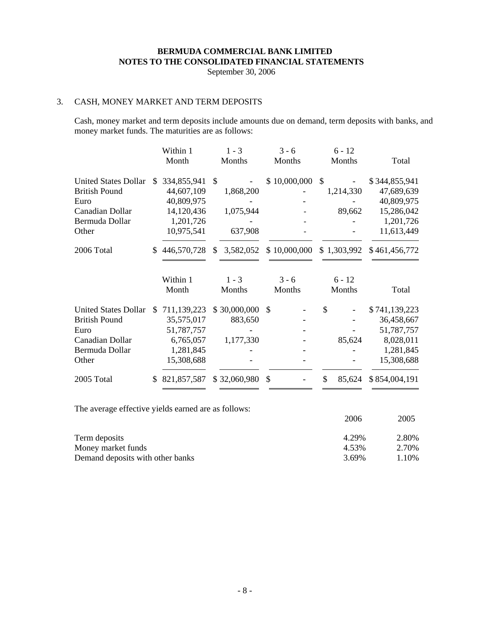September 30, 2006

# 3. CASH, MONEY MARKET AND TERM DEPOSITS

 Cash, money market and term deposits include amounts due on demand, term deposits with banks, and money market funds. The maturities are as follows:

|                                                     | Within 1          |               | $1 - 3$      | $3 - 6$      |               | $6 - 12$                 |               |
|-----------------------------------------------------|-------------------|---------------|--------------|--------------|---------------|--------------------------|---------------|
|                                                     | Month             |               | Months       | Months       |               | Months                   | Total         |
| <b>United States Dollar</b>                         | \$<br>334,855,941 | $\mathcal{S}$ |              | \$10,000,000 | $\mathcal{S}$ | $\overline{\phantom{a}}$ | \$344,855,941 |
| <b>British Pound</b>                                | 44,607,109        |               | 1,868,200    |              |               | 1,214,330                | 47,689,639    |
| Euro                                                | 40,809,975        |               |              |              |               |                          | 40,809,975    |
| Canadian Dollar                                     | 14,120,436        |               | 1,075,944    |              |               | 89,662                   | 15,286,042    |
| Bermuda Dollar                                      | 1,201,726         |               |              |              |               |                          | 1,201,726     |
| Other                                               | 10,975,541        |               | 637,908      |              |               |                          | 11,613,449    |
| 2006 Total                                          | \$<br>446,570,728 | \$            | 3,582,052    | \$10,000,000 |               | \$1,303,992              | \$461,456,772 |
|                                                     | Within 1          |               | $1 - 3$      | $3 - 6$      |               | $6 - 12$                 |               |
|                                                     | Month             |               | Months       | Months       |               | Months                   | Total         |
| <b>United States Dollar</b>                         | \$<br>711,139,223 |               | \$30,000,000 | \$           | \$            |                          | \$741,139,223 |
| <b>British Pound</b>                                | 35,575,017        |               | 883,650      |              |               |                          | 36,458,667    |
| Euro                                                | 51,787,757        |               |              |              |               |                          | 51,787,757    |
| Canadian Dollar                                     | 6,765,057         |               | 1,177,330    |              |               | 85,624                   | 8,028,011     |
| Bermuda Dollar                                      | 1,281,845         |               |              |              |               |                          | 1,281,845     |
| Other                                               | 15,308,688        |               |              |              |               |                          | 15,308,688    |
| 2005 Total                                          | \$<br>821,857,587 |               | \$32,060,980 | \$           | \$            | 85,624                   | \$854,004,191 |
| The average effective yields earned are as follows: |                   |               |              |              |               | 2006                     | 2005          |
|                                                     |                   |               |              |              |               | $\mathbf{A}$             | $\sim$ 000    |

| Term deposits                    | 4.29% | 2.80% |
|----------------------------------|-------|-------|
| Money market funds               | 4.53% | 2.70% |
| Demand deposits with other banks | 3.69% | 1.10% |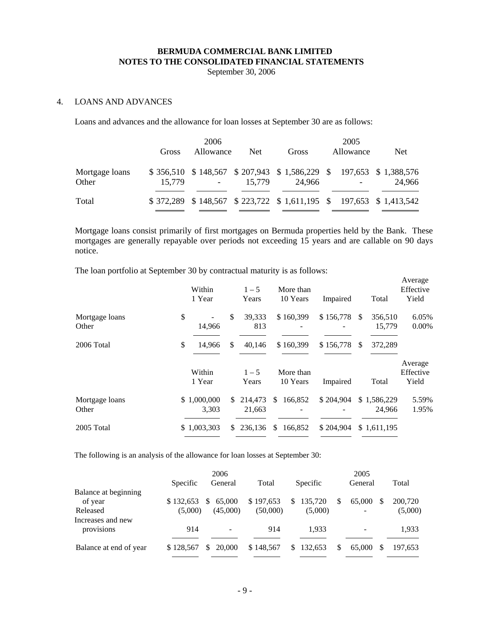September 30, 2006

## 4. LOANS AND ADVANCES

Loans and advances and the allowance for loan losses at September 30 are as follows:

|                         | Gross  | 2006<br>Allowance | <b>Net</b> | Gross                                                                     | 2005<br>Allowance | <b>Net</b> |
|-------------------------|--------|-------------------|------------|---------------------------------------------------------------------------|-------------------|------------|
| Mortgage loans<br>Other | 15.779 |                   | 15.779     | \$356,510 \$148,567 \$207,943 \$1,586,229 \$197,653 \$1,388,576<br>24.966 |                   | 24.966     |
| Total                   |        |                   |            | \$372,289 \$148,567 \$223,722 \$1,611,195 \$197,653 \$1,413,542           |                   |            |

Mortgage loans consist primarily of first mortgages on Bermuda properties held by the Bank. These mortgages are generally repayable over periods not exceeding 15 years and are callable on 90 days notice.

The loan portfolio at September 30 by contractual maturity is as follows:

|                         | Within<br>1 Year     |    | $1 - 5$<br>Years     | More than<br>10 Years                         | Impaired         |               | Total                 | Average<br>Effective<br>Yield |
|-------------------------|----------------------|----|----------------------|-----------------------------------------------|------------------|---------------|-----------------------|-------------------------------|
| Mortgage loans<br>Other | \$<br>14,966         | \$ | 39,333<br>813        | \$160,399                                     | \$156,778        | <sup>\$</sup> | 356,510<br>15,779     | 6.05%<br>$0.00\%$             |
| 2006 Total              | \$<br>14,966         | \$ | 40,146               | \$160,399                                     | $$156,778$ \, \$ |               | 372,289               |                               |
|                         | Within<br>1 Year     |    | $1 - 5$<br>Years     | More than<br>10 Years                         | Impaired         |               | Total                 | Average<br>Effective<br>Yield |
| Mortgage loans<br>Other | \$1,000,000<br>3,303 |    | \$ 214,473<br>21.663 | \$<br>166,852<br>$\qquad \qquad \blacksquare$ | \$204,904        |               | \$1,586,229<br>24.966 | 5.59%<br>1.95%                |
| 2005 Total              | \$1,003,303          | S. | 236,136              | \$<br>166,852                                 | \$204,904        |               | \$1,611,195           |                               |

The following is an analysis of the allowance for loan losses at September 30:

|                        |           | 2006                     |           |           |   | 2005               |         |
|------------------------|-----------|--------------------------|-----------|-----------|---|--------------------|---------|
|                        | Specific  | General                  | Total     | Specific  |   | General            | Total   |
| Balance at beginning   |           |                          |           |           |   |                    |         |
| of year                | \$132,653 | 65,000<br>S              | \$197,653 | \$135,720 | S | 65,000<br><b>S</b> | 200,720 |
| Released               | (5,000)   | (45,000)                 | (50,000)  | (5,000)   |   | -                  | (5,000) |
| Increases and new      |           |                          |           |           |   |                    |         |
| provisions             | 914       | $\overline{\phantom{a}}$ | 914       | 1.933     |   | -                  | 1,933   |
|                        |           |                          |           |           |   |                    |         |
| Balance at end of year | \$128,567 | 20,000                   | \$148,567 | \$132,653 |   | 65,000             | 197.653 |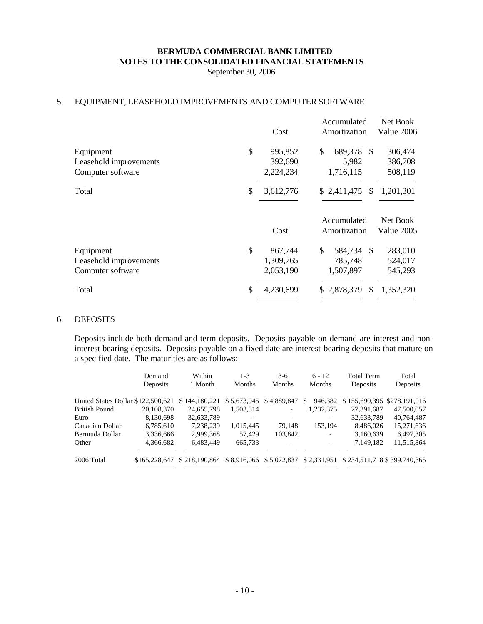September 30, 2006

# 5. EQUIPMENT, LEASEHOLD IMPROVEMENTS AND COMPUTER SOFTWARE

|                        |                 | Accumulated                    | Net Book   |  |
|------------------------|-----------------|--------------------------------|------------|--|
|                        | Cost            | Amortization                   | Value 2006 |  |
| Equipment              | \$<br>995,852   | \$<br>689,378<br>-S            | 306,474    |  |
| Leasehold improvements | 392,690         | 5,982                          | 386,708    |  |
| Computer software      | 2,224,234       | 1,716,115                      | 508,119    |  |
| Total                  | \$<br>3,612,776 | \$2,411,475<br>S               | 1,201,301  |  |
|                        |                 | Accumulated                    | Net Book   |  |
|                        | Cost            | Amortization                   | Value 2005 |  |
| Equipment              | \$<br>867,744   | \$<br>584,734<br><sup>\$</sup> | 283,010    |  |
| Leasehold improvements | 1,309,765       | 785,748                        | 524,017    |  |
| Computer software      | 2,053,190       | 1,507,897                      | 545,293    |  |
| Total                  | \$<br>4,230,699 | \$2,878,379<br>\$              | 1,352,320  |  |
|                        |                 |                                |            |  |

#### 6. DEPOSITS

Deposits include both demand and term deposits. Deposits payable on demand are interest and noninterest bearing deposits. Deposits payable on a fixed date are interest-bearing deposits that mature on a specified date. The maturities are as follows:

|                                    | Demand<br>Deposits | Within<br>1 Month | $1 - 3$<br><b>Months</b> | $3-6$<br><b>Months</b>     | $6 - 12$<br><b>Months</b> | <b>Total Term</b><br>Deposits                                                 | Total<br>Deposits |
|------------------------------------|--------------------|-------------------|--------------------------|----------------------------|---------------------------|-------------------------------------------------------------------------------|-------------------|
|                                    |                    |                   |                          |                            |                           |                                                                               |                   |
| United States Dollar \$122,500,621 |                    | \$144,180,221     |                          | \$5,673,945 \$4,889,847 \$ |                           | 946,382 \$155,690,395 \$278,191,016                                           |                   |
| <b>British Pound</b>               | 20,108,370         | 24,655,798        | 1,503,514                | $\overline{\phantom{0}}$   | 1,232,375                 | 27,391,687                                                                    | 47,500,057        |
| Euro                               | 8,130,698          | 32,633,789        |                          |                            |                           | 32,633,789                                                                    | 40,764,487        |
| Canadian Dollar                    | 6,785,610          | 7,238,239         | 1,015,445                | 79.148                     | 153.194                   | 8,486,026                                                                     | 15,271,636        |
| Bermuda Dollar                     | 3,336,666          | 2,999,368         | 57.429                   | 103,842                    |                           | 3,160,639                                                                     | 6,497,305         |
| Other                              | 4,366,682          | 6,483,449         | 665,733                  | $\overline{\phantom{0}}$   |                           | 7,149,182                                                                     | 11,515,864        |
| 2006 Total                         | \$165,228,647      |                   |                          |                            |                           | \$218,190,864 \$8,916,066 \$5,072,837 \$2,331,951 \$234,511,718 \$399,740,365 |                   |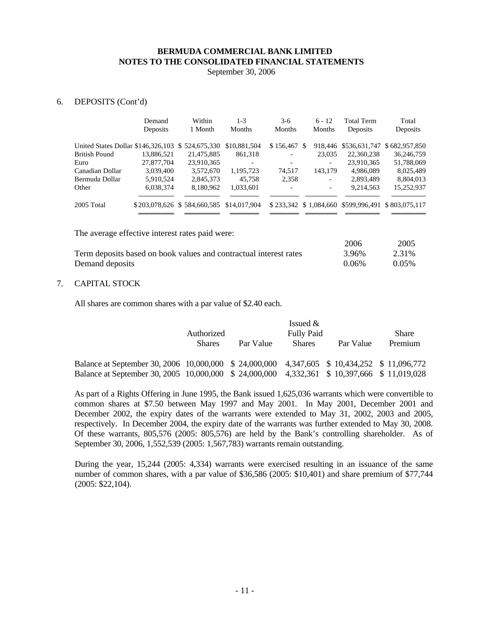September 30, 2006

#### 6. DEPOSITS (Cont'd)

|                                                  | Demand<br>Deposits | Within<br>1 Month           | $1 - 3$<br><b>Months</b> | $3-6$<br><b>Months</b> | $6 - 12$<br>Months | <b>Total Term</b><br>Deposits | Total<br>Deposits                                 |
|--------------------------------------------------|--------------------|-----------------------------|--------------------------|------------------------|--------------------|-------------------------------|---------------------------------------------------|
| United States Dollar \$146,326,103 \$524,675,330 |                    |                             | \$10,881,504             | \$156,467 \$           |                    |                               | 918,446 \$536,631,747 \$682,957,850               |
| <b>British Pound</b>                             | 13.886.521         | 21,475,885                  | 861,318                  |                        | 23,035             | 22,360,238                    | 36,246,759                                        |
| Euro                                             | 27,877,704         | 23,910,365                  | $\overline{\phantom{0}}$ | -                      | -                  | 23.910.365                    | 51,788,069                                        |
| Canadian Dollar                                  | 3.039.400          | 3,572,670                   | 1,195,723                | 74,517                 | 143,179            | 4.986.089                     | 8,025,489                                         |
| Bermuda Dollar                                   | 5,910,524          | 2,845,373                   | 45.758                   | 2,358                  | -                  | 2,893,489                     | 8,804,013                                         |
| Other                                            | 6,038,374          | 8,180,962                   | 1,033,601                | -                      |                    | 9,214,563                     | 15,252,937                                        |
| 2005 Total                                       |                    | \$203,078,626 \$584,660,585 | \$14,017,904             |                        |                    |                               | \$233,342 \$1,084,660 \$599,996,491 \$803,075,117 |

The average effective interest rates paid were:

|                                                                   | 2006  | 2005     |
|-------------------------------------------------------------------|-------|----------|
| Term deposits based on book values and contractual interest rates | 3.96% | 2.31%    |
| Demand deposits                                                   | 0.06% | $0.05\%$ |

#### 7. CAPITAL STOCK

All shares are common shares with a par value of \$2.40 each.

|                                                                                              | Authorized    |           | Issued $&$<br><b>Fully Paid</b> |           | Share   |
|----------------------------------------------------------------------------------------------|---------------|-----------|---------------------------------|-----------|---------|
|                                                                                              | <b>Shares</b> | Par Value | <b>Shares</b>                   | Par Value | Premium |
| Balance at September 30, 2006 10,000,000 \$ 24,000,000 4,347,605 \$ 10,434,252 \$ 11,096,772 |               |           |                                 |           |         |
| Balance at September 30, 2005 10,000,000 \$ 24,000,000 4,332,361 \$ 10,397,666 \$ 11,019,028 |               |           |                                 |           |         |

As part of a Rights Offering in June 1995, the Bank issued 1,625,036 warrants which were convertible to common shares at \$7.50 between May 1997 and May 2001. In May 2001, December 2001 and December 2002, the expiry dates of the warrants were extended to May 31, 2002, 2003 and 2005, respectively. In December 2004, the expiry date of the warrants was further extended to May 30, 2008. Of these warrants, 805,576 (2005: 805,576) are held by the Bank's controlling shareholder. As of September 30, 2006, 1,552,539 (2005: 1,567,783) warrants remain outstanding.

 During the year, 15,244 (2005: 4,334) warrants were exercised resulting in an issuance of the same number of common shares, with a par value of \$36,586 (2005: \$10,401) and share premium of \$77,744 (2005: \$22,104).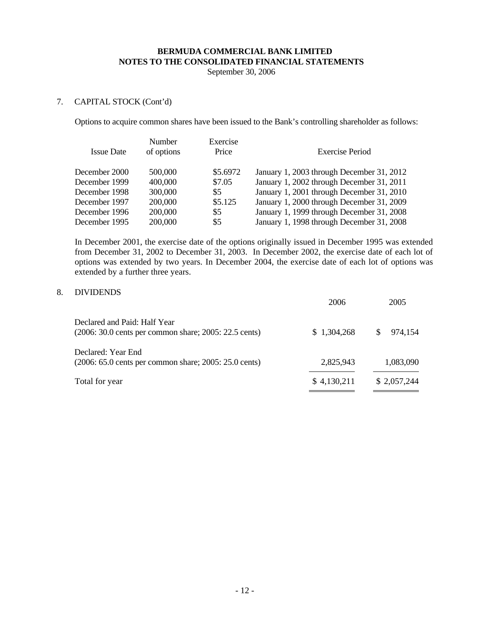September 30, 2006

## 7. CAPITAL STOCK (Cont'd)

Options to acquire common shares have been issued to the Bank's controlling shareholder as follows:

| <b>Issue Date</b> | Number<br>of options | Exercise<br>Price | <b>Exercise Period</b>                    |
|-------------------|----------------------|-------------------|-------------------------------------------|
| December 2000     | 500,000              | \$5.6972          | January 1, 2003 through December 31, 2012 |
| December 1999     | 400,000              | \$7.05            | January 1, 2002 through December 31, 2011 |
| December 1998     | 300,000              | \$5               | January 1, 2001 through December 31, 2010 |
| December 1997     | 200,000              | \$5.125           | January 1, 2000 through December 31, 2009 |
| December 1996     | 200,000              | \$5               | January 1, 1999 through December 31, 2008 |
| December 1995     | 200,000              | \$5               | January 1, 1998 through December 31, 2008 |

 In December 2001, the exercise date of the options originally issued in December 1995 was extended from December 31, 2002 to December 31, 2003. In December 2002, the exercise date of each lot of options was extended by two years. In December 2004, the exercise date of each lot of options was extended by a further three years.

#### 8. DIVIDENDS

|                                                                                               | 2006        | 2005          |
|-----------------------------------------------------------------------------------------------|-------------|---------------|
| Declared and Paid: Half Year<br>(2006: 30.0 cents per common share; 2005: 22.5 cents)         | \$1,304,268 | 974,154<br>S. |
| Declared: Year End<br>$(2006: 65.0 \text{ cents per common share}; 2005: 25.0 \text{ cents})$ | 2,825,943   | 1,083,090     |
| Total for year                                                                                | \$4,130,211 | \$2,057,244   |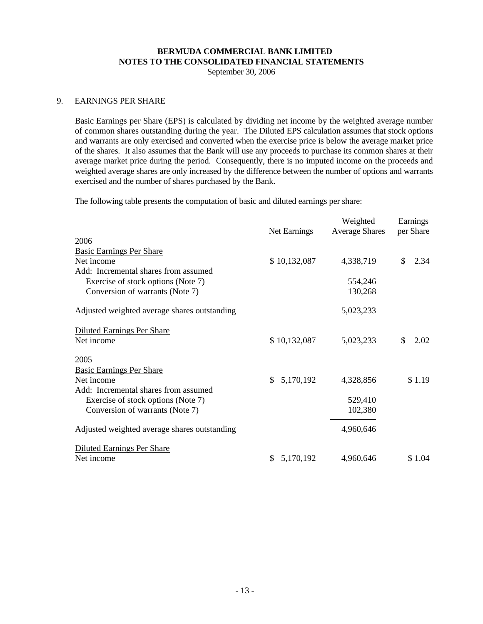September 30, 2006

#### 9. EARNINGS PER SHARE

Basic Earnings per Share (EPS) is calculated by dividing net income by the weighted average number of common shares outstanding during the year. The Diluted EPS calculation assumes that stock options and warrants are only exercised and converted when the exercise price is below the average market price of the shares. It also assumes that the Bank will use any proceeds to purchase its common shares at their average market price during the period. Consequently, there is no imputed income on the proceeds and weighted average shares are only increased by the difference between the number of options and warrants exercised and the number of shares purchased by the Bank.

The following table presents the computation of basic and diluted earnings per share:

|                                              |                 | Weighted              | Earnings   |
|----------------------------------------------|-----------------|-----------------------|------------|
| 2006                                         | Net Earnings    | <b>Average Shares</b> | per Share  |
| <b>Basic Earnings Per Share</b>              |                 |                       |            |
| Net income                                   | \$10,132,087    | 4,338,719             | \$<br>2.34 |
| Add: Incremental shares from assumed         |                 |                       |            |
| Exercise of stock options (Note 7)           |                 | 554,246               |            |
| Conversion of warrants (Note 7)              |                 | 130,268               |            |
| Adjusted weighted average shares outstanding |                 | 5,023,233             |            |
| <b>Diluted Earnings Per Share</b>            |                 |                       |            |
| Net income                                   | \$10,132,087    | 5,023,233             | \$<br>2.02 |
| 2005                                         |                 |                       |            |
| <b>Basic Earnings Per Share</b>              |                 |                       |            |
| Net income                                   | 5,170,192<br>\$ | 4,328,856             | \$1.19     |
| Add: Incremental shares from assumed         |                 |                       |            |
| Exercise of stock options (Note 7)           |                 | 529,410               |            |
| Conversion of warrants (Note 7)              |                 | 102,380               |            |
| Adjusted weighted average shares outstanding |                 | 4,960,646             |            |
| <b>Diluted Earnings Per Share</b>            |                 |                       |            |
| Net income                                   | 5,170,192<br>\$ | 4,960,646             | \$1.04     |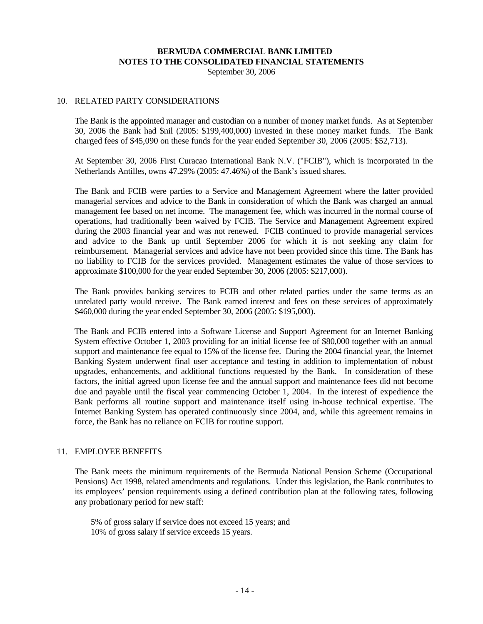September 30, 2006

#### 10. RELATED PARTY CONSIDERATIONS

 The Bank is the appointed manager and custodian on a number of money market funds. As at September 30, 2006 the Bank had \$nil (2005: \$199,400,000) invested in these money market funds. The Bank charged fees of \$45,090 on these funds for the year ended September 30, 2006 (2005: \$52,713).

 At September 30, 2006 First Curacao International Bank N.V. ("FCIB"), which is incorporated in the Netherlands Antilles, owns 47.29% (2005: 47.46%) of the Bank's issued shares.

 The Bank and FCIB were parties to a Service and Management Agreement where the latter provided managerial services and advice to the Bank in consideration of which the Bank was charged an annual management fee based on net income. The management fee, which was incurred in the normal course of operations, had traditionally been waived by FCIB. The Service and Management Agreement expired during the 2003 financial year and was not renewed. FCIB continued to provide managerial services and advice to the Bank up until September 2006 for which it is not seeking any claim for reimbursement. Managerial services and advice have not been provided since this time. The Bank has no liability to FCIB for the services provided. Management estimates the value of those services to approximate \$100,000 for the year ended September 30, 2006 (2005: \$217,000).

 The Bank provides banking services to FCIB and other related parties under the same terms as an unrelated party would receive. The Bank earned interest and fees on these services of approximately \$460,000 during the year ended September 30, 2006 (2005: \$195,000).

The Bank and FCIB entered into a Software License and Support Agreement for an Internet Banking System effective October 1, 2003 providing for an initial license fee of \$80,000 together with an annual support and maintenance fee equal to 15% of the license fee. During the 2004 financial year, the Internet Banking System underwent final user acceptance and testing in addition to implementation of robust upgrades, enhancements, and additional functions requested by the Bank. In consideration of these factors, the initial agreed upon license fee and the annual support and maintenance fees did not become due and payable until the fiscal year commencing October 1, 2004. In the interest of expedience the Bank performs all routine support and maintenance itself using in-house technical expertise. The Internet Banking System has operated continuously since 2004, and, while this agreement remains in force, the Bank has no reliance on FCIB for routine support.

#### 11. EMPLOYEE BENEFITS

 The Bank meets the minimum requirements of the Bermuda National Pension Scheme (Occupational Pensions) Act 1998, related amendments and regulations. Under this legislation, the Bank contributes to its employees' pension requirements using a defined contribution plan at the following rates, following any probationary period for new staff:

 5% of gross salary if service does not exceed 15 years; and 10% of gross salary if service exceeds 15 years.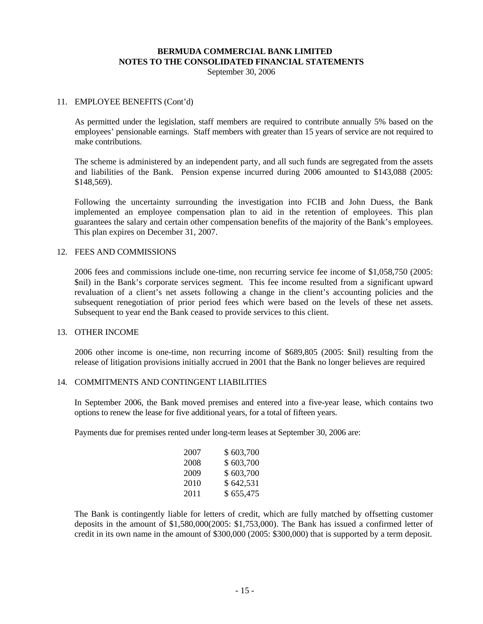September 30, 2006

#### 11. EMPLOYEE BENEFITS (Cont'd)

 As permitted under the legislation, staff members are required to contribute annually 5% based on the employees' pensionable earnings. Staff members with greater than 15 years of service are not required to make contributions.

The scheme is administered by an independent party, and all such funds are segregated from the assets and liabilities of the Bank. Pension expense incurred during 2006 amounted to \$143,088 (2005: \$148,569).

Following the uncertainty surrounding the investigation into FCIB and John Duess, the Bank implemented an employee compensation plan to aid in the retention of employees. This plan guarantees the salary and certain other compensation benefits of the majority of the Bank's employees. This plan expires on December 31, 2007.

#### 12. FEES AND COMMISSIONS

2006 fees and commissions include one-time, non recurring service fee income of \$1,058,750 (2005: \$nil) in the Bank's corporate services segment. This fee income resulted from a significant upward revaluation of a client's net assets following a change in the client's accounting policies and the subsequent renegotiation of prior period fees which were based on the levels of these net assets. Subsequent to year end the Bank ceased to provide services to this client.

#### 13. OTHER INCOME

 2006 other income is one-time, non recurring income of \$689,805 (2005: \$nil) resulting from the release of litigation provisions initially accrued in 2001 that the Bank no longer believes are required

#### 14. COMMITMENTS AND CONTINGENT LIABILITIES

In September 2006, the Bank moved premises and entered into a five-year lease, which contains two options to renew the lease for five additional years, for a total of fifteen years.

Payments due for premises rented under long-term leases at September 30, 2006 are:

| 2007 | \$603,700 |
|------|-----------|
| 2008 | \$603,700 |
| 2009 | \$603,700 |
| 2010 | \$642,531 |
| 2011 | \$655,475 |

The Bank is contingently liable for letters of credit, which are fully matched by offsetting customer deposits in the amount of \$1,580,000(2005: \$1,753,000). The Bank has issued a confirmed letter of credit in its own name in the amount of \$300,000 (2005: \$300,000) that is supported by a term deposit.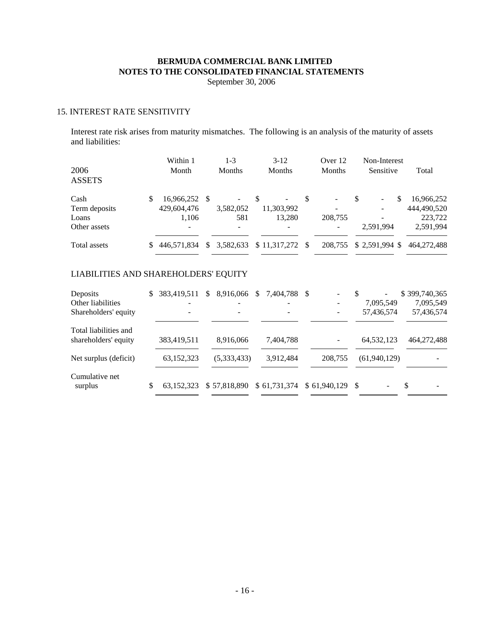September 30, 2006

## 15. INTEREST RATE SENSITIVITY

 Interest rate risk arises from maturity mismatches. The following is an analysis of the maturity of assets and liabilities:

| 2006<br><b>ASSETS</b>          |   | Within 1<br>Month                     |          | 1-3<br><b>Months</b>                         |    | $3 - 12$<br><b>Months</b>  |   | Over 12<br><b>Months</b>                                        | Non-Interest<br>Sensitive |   | Total                                |
|--------------------------------|---|---------------------------------------|----------|----------------------------------------------|----|----------------------------|---|-----------------------------------------------------------------|---------------------------|---|--------------------------------------|
| Cash<br>Term deposits<br>Loans | S | 16,966,252 \$<br>429,604,476<br>1.106 |          | $\overline{\phantom{a}}$<br>3,582,052<br>581 | -S | ۰.<br>11,303,992<br>13,280 | S | $\overline{\phantom{a}}$<br>$\overline{\phantom{0}}$<br>208,755 | \$<br>-                   | S | 16,966,252<br>444,490,520<br>223,722 |
| Other assets                   |   | $\overline{\phantom{a}}$              |          | $\overline{\phantom{a}}$                     |    | $\overline{\phantom{a}}$   |   | $\overline{\phantom{a}}$                                        | 2.591.994                 |   | 2,591,994                            |
| Total assets                   |   | \$446,571,834                         | <b>S</b> | 3,582,633                                    |    | $$11,317,272$ \\$          |   | 208,755                                                         | $$2,591,994$ \$           |   | 464,272,488                          |

# LIABILITIES AND SHAREHOLDERS' EQUITY

| Deposits<br>Other liabilities<br>Shareholders' equity | \$<br>383,419,511 | <sup>\$</sup> | 8,916,066   | <sup>S</sup> | 7,404,788 \$              | -            | S    | $\overline{\phantom{0}}$<br>7,095,549<br>57,436,574 | \$399,740,365<br>7,095,549<br>57,436,574 |
|-------------------------------------------------------|-------------------|---------------|-------------|--------------|---------------------------|--------------|------|-----------------------------------------------------|------------------------------------------|
| Total liabilities and<br>shareholders' equity         | 383,419,511       |               | 8.916.066   |              | 7,404,788                 |              |      | 64, 532, 123                                        | 464,272,488                              |
| Net surplus (deficit)                                 | 63,152,323        |               | (5,333,433) |              | 3,912,484                 | 208,755      |      | (61,940,129)                                        |                                          |
| Cumulative net<br>surplus                             | \$<br>63,152,323  |               |             |              | \$57,818,890 \$61,731,374 | \$61,940,129 | - \$ |                                                     | <sup>\$</sup>                            |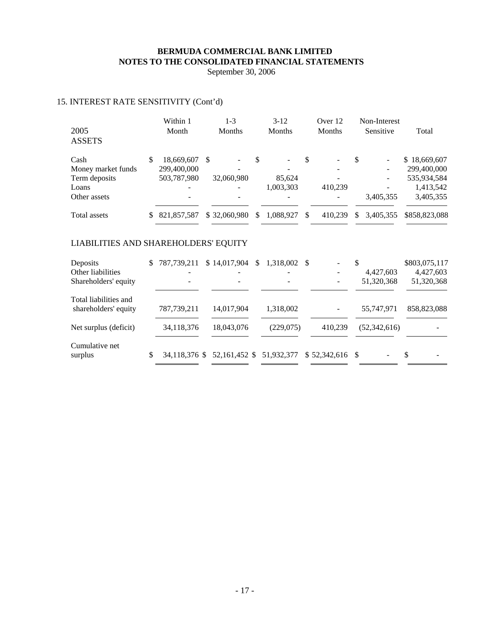September 30, 2006

# 15. INTEREST RATE SENSITIVITY (Cont'd)

| 2005<br><b>ASSETS</b>                                                                         |     | Within 1<br>Month           | $1 - 3$<br>Months | $3 - 12$<br><b>Months</b> |     | Over 12<br>Months |     | Non-Interest<br>Sensitive | Total                                    |
|-----------------------------------------------------------------------------------------------|-----|-----------------------------|-------------------|---------------------------|-----|-------------------|-----|---------------------------|------------------------------------------|
| Cash                                                                                          | \$  | 18,669,607                  | \$                | \$                        | \$  |                   | \$  |                           | \$18,669,607                             |
| Money market funds                                                                            |     | 299,400,000                 |                   |                           |     |                   |     |                           | 299,400,000                              |
| Term deposits                                                                                 |     | 503,787,980                 | 32,060,980        | 85,624                    |     |                   |     |                           | 535,934,584                              |
| Loans                                                                                         |     |                             |                   | 1,003,303                 |     | 410,239           |     |                           | 1,413,542                                |
| Other assets                                                                                  |     |                             |                   |                           |     |                   |     | 3,405,355                 | 3,405,355                                |
| <b>Total assets</b>                                                                           | \$. | 821, 857, 587               | \$32,060,980      | \$<br>1,088,927           | \$  | 410,239           | \$. | 3,405,355                 | \$858,823,088                            |
| LIABILITIES AND SHAREHOLDERS' EQUITY<br>Deposits<br>Other liabilities<br>Shareholders' equity | S.  | 787,739,211                 | \$14,017,904      | \$<br>1,318,002           | \$. |                   | \$  | 4,427,603<br>51,320,368   | \$803,075,117<br>4,427,603<br>51,320,368 |
| Total liabilities and<br>shareholders' equity                                                 |     | 787,739,211                 | 14,017,904        | 1,318,002                 |     |                   |     | 55,747,971                | 858,823,088                              |
| Net surplus (deficit)                                                                         |     | 34,118,376                  | 18,043,076        | (229,075)                 |     | 410,239           |     | (52, 342, 616)            |                                          |
| Cumulative net<br>surplus                                                                     | \$  | 34,118,376 \$ 52,161,452 \$ |                   | 51,932,377                |     | \$52,342,616      | -S  |                           | \$                                       |

 $\sim$ 

the company of the company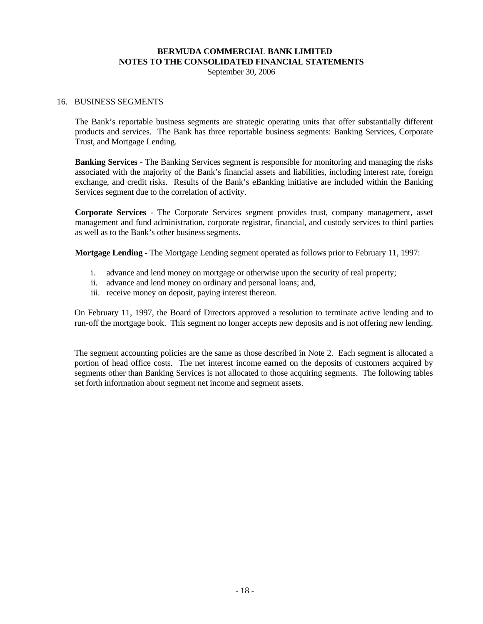September 30, 2006

#### 16. BUSINESS SEGMENTS

The Bank's reportable business segments are strategic operating units that offer substantially different products and services. The Bank has three reportable business segments: Banking Services, Corporate Trust, and Mortgage Lending.

**Banking Services** - The Banking Services segment is responsible for monitoring and managing the risks associated with the majority of the Bank's financial assets and liabilities, including interest rate, foreign exchange, and credit risks. Results of the Bank's eBanking initiative are included within the Banking Services segment due to the correlation of activity.

**Corporate Services** - The Corporate Services segment provides trust, company management, asset management and fund administration, corporate registrar, financial, and custody services to third parties as well as to the Bank's other business segments.

**Mortgage Lending** - The Mortgage Lending segment operated as follows prior to February 11, 1997:

- i. advance and lend money on mortgage or otherwise upon the security of real property;
- ii. advance and lend money on ordinary and personal loans; and,
- iii. receive money on deposit, paying interest thereon.

On February 11, 1997, the Board of Directors approved a resolution to terminate active lending and to run-off the mortgage book. This segment no longer accepts new deposits and is not offering new lending.

The segment accounting policies are the same as those described in Note 2. Each segment is allocated a portion of head office costs. The net interest income earned on the deposits of customers acquired by segments other than Banking Services is not allocated to those acquiring segments. The following tables set forth information about segment net income and segment assets.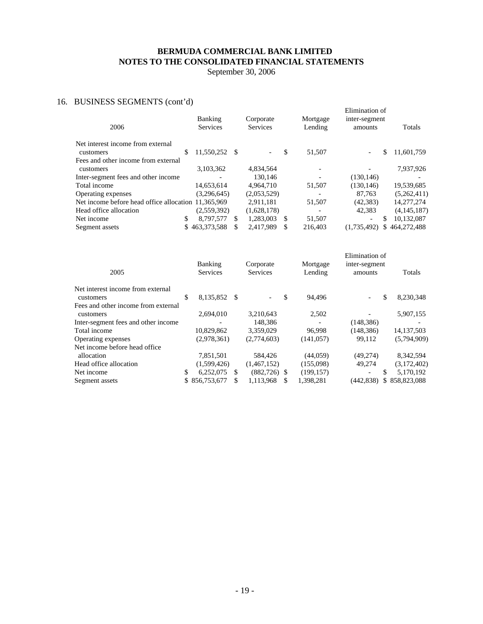September 30, 2006

# 16. BUSINESS SEGMENTS (cont'd)

| $\frac{1}{2}$ $\frac{1}{2}$ $\frac{1}{2}$ $\frac{1}{2}$ $\frac{1}{2}$ $\frac{1}{2}$ $\frac{1}{2}$ $\frac{1}{2}$ $\frac{1}{2}$ $\frac{1}{2}$ $\frac{1}{2}$ $\frac{1}{2}$ $\frac{1}{2}$ $\frac{1}{2}$ $\frac{1}{2}$ $\frac{1}{2}$ $\frac{1}{2}$ $\frac{1}{2}$ $\frac{1}{2}$ $\frac{1}{2}$ $\frac{1}{2}$ $\frac{1}{2}$<br>2006 | Banking<br><b>Services</b> |     | Corporate<br><b>Services</b> |    | Mortgage<br>Lending | Elimination of<br>inter-segment<br>amounts | Totals      |
|-----------------------------------------------------------------------------------------------------------------------------------------------------------------------------------------------------------------------------------------------------------------------------------------------------------------------------|----------------------------|-----|------------------------------|----|---------------------|--------------------------------------------|-------------|
| Net interest income from external<br>customers                                                                                                                                                                                                                                                                              | \$<br>11.550.252 \$        |     | $\overline{\phantom{a}}$     | \$ | 51.507              | \$.                                        | 11,601,759  |
| Fees and other income from external                                                                                                                                                                                                                                                                                         | 3,103,362                  |     | 4,834,564                    |    |                     |                                            | 7,937,926   |
| customers<br>Inter-segment fees and other income                                                                                                                                                                                                                                                                            |                            |     | 130.146                      |    |                     | (130, 146)                                 |             |
| Total income                                                                                                                                                                                                                                                                                                                | 14,653,614                 |     | 4,964,710                    |    | 51,507              | (130, 146)                                 | 19,539,685  |
| Operating expenses                                                                                                                                                                                                                                                                                                          | (3.296.645)                |     | (2,053,529)                  |    |                     | 87.763                                     | (5,262,411) |
| Net income before head office allocation 11.365.969                                                                                                                                                                                                                                                                         |                            |     | 2,911,181                    |    | 51,507              | (42, 383)                                  | 14,277,274  |
| Head office allocation                                                                                                                                                                                                                                                                                                      | (2,559,392)                |     | (1,628,178)                  |    |                     | 42.383                                     | (4,145,187) |
| Net income                                                                                                                                                                                                                                                                                                                  | \$<br>8.797.577            | \$. | 1,283,003                    | S  | 51,507              | S                                          | 10,132,087  |
| Segment assets                                                                                                                                                                                                                                                                                                              | \$463,373,588              | \$. | 2.417.989                    | S  | 216.403             | (1.735.492)<br>\$                          | 464,272,488 |
|                                                                                                                                                                                                                                                                                                                             |                            |     |                              |    |                     |                                            |             |

| 2005                                             |    | Banking<br><b>Services</b> |     | Corporate<br><b>Services</b> |     | Mortgage<br>Lending | Elimination of<br>inter-segment<br>amounts | Totals        |
|--------------------------------------------------|----|----------------------------|-----|------------------------------|-----|---------------------|--------------------------------------------|---------------|
| Net interest income from external<br>customers   | S  | 8,135,852 \$               |     | $\overline{\phantom{a}}$     | \$  | 94.496              | \$<br>$\overline{\phantom{0}}$             | 8,230,348     |
| Fees and other income from external<br>customers |    | 2.694.010                  |     | 3.210.643                    |     | 2,502               |                                            | 5,907,155     |
| Inter-segment fees and other income              |    |                            |     | 148,386                      |     |                     | (148, 386)                                 |               |
| Total income                                     |    | 10,829,862                 |     | 3.359.029                    |     | 96.998              | (148, 386)                                 | 14, 137, 503  |
| Operating expenses                               |    | (2,978,361)                |     | (2,774,603)                  |     | (141, 057)          | 99.112                                     | (5,794,909)   |
| Net income before head office.                   |    |                            |     |                              |     |                     |                                            |               |
| allocation                                       |    | 7,851,501                  |     | 584.426                      |     | (44, 059)           | (49,274)                                   | 8,342,594     |
| Head office allocation                           |    | (1,599,426)                |     | (1,467,152)                  |     | (155,098)           | 49,274                                     | (3,172,402)   |
| Net income                                       | \$ | 6.252,075                  | S.  | $(882,726)$ \$               |     | (199, 157)          | S<br>$\overline{\phantom{a}}$              | 5,170,192     |
| Segment assets                                   |    | \$856,753,677              | \$. | 1,113,968                    | \$. | 1,398,281           | (442, 838)                                 | \$858,823,088 |
|                                                  |    |                            |     |                              |     |                     |                                            |               |